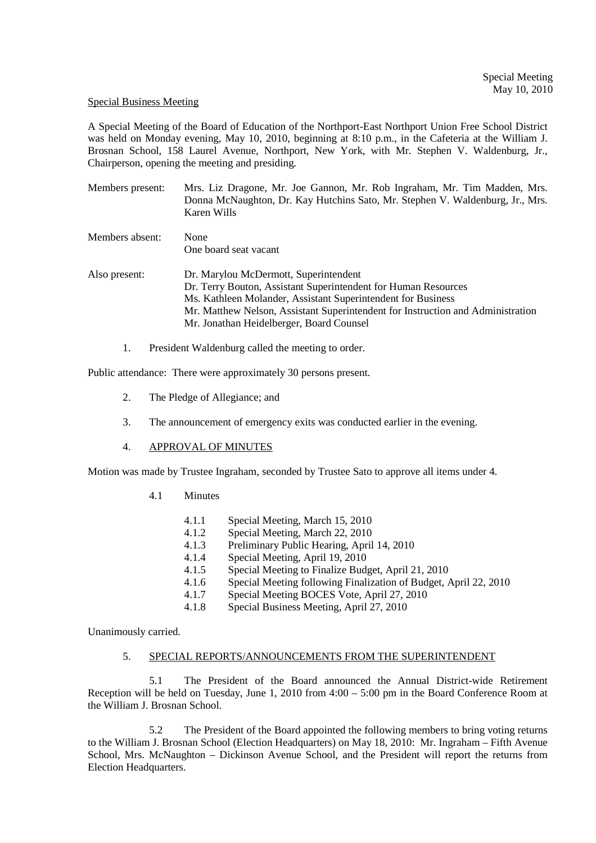#### Special Business Meeting

A Special Meeting of the Board of Education of the Northport-East Northport Union Free School District was held on Monday evening, May 10, 2010, beginning at 8:10 p.m., in the Cafeteria at the William J. Brosnan School, 158 Laurel Avenue, Northport, New York, with Mr. Stephen V. Waldenburg, Jr., Chairperson, opening the meeting and presiding.

| Members present: | Mrs. Liz Dragone, Mr. Joe Gannon, Mr. Rob Ingraham, Mr. Tim Madden, Mrs.<br>Donna McNaughton, Dr. Kay Hutchins Sato, Mr. Stephen V. Waldenburg, Jr., Mrs.<br>Karen Wills                                                                                                                               |  |  |
|------------------|--------------------------------------------------------------------------------------------------------------------------------------------------------------------------------------------------------------------------------------------------------------------------------------------------------|--|--|
| Members absent:  | None<br>One board seat vacant                                                                                                                                                                                                                                                                          |  |  |
| Also present:    | Dr. Marylou McDermott, Superintendent<br>Dr. Terry Bouton, Assistant Superintendent for Human Resources<br>Ms. Kathleen Molander, Assistant Superintendent for Business<br>Mr. Matthew Nelson, Assistant Superintendent for Instruction and Administration<br>Mr. Jonathan Heidelberger, Board Counsel |  |  |

1. President Waldenburg called the meeting to order.

Public attendance: There were approximately 30 persons present.

- 2. The Pledge of Allegiance; and
- 3. The announcement of emergency exits was conducted earlier in the evening.
- 4. APPROVAL OF MINUTES

Motion was made by Trustee Ingraham, seconded by Trustee Sato to approve all items under 4.

- 4.1 Minutes
	- 4.1.1 Special Meeting, March 15, 2010<br>4.1.2 Special Meeting March 22, 2010
	- 4.1.2 Special Meeting, March 22, 2010<br>4.1.3 Preliminary Public Hearing, April
	- Preliminary Public Hearing, April 14, 2010
	- 4.1.4 Special Meeting, April 19, 2010
	- 4.1.5 Special Meeting to Finalize Budget, April 21, 2010
	- 4.1.6 Special Meeting following Finalization of Budget, April 22, 2010
	- 4.1.7 Special Meeting BOCES Vote, April 27, 2010
	- 4.1.8 Special Business Meeting, April 27, 2010

Unanimously carried.

## 5. SPECIAL REPORTS/ANNOUNCEMENTS FROM THE SUPERINTENDENT

5.1 The President of the Board announced the Annual District-wide Retirement Reception will be held on Tuesday, June 1, 2010 from 4:00 – 5:00 pm in the Board Conference Room at the William J. Brosnan School.

5.2 The President of the Board appointed the following members to bring voting returns to the William J. Brosnan School (Election Headquarters) on May 18, 2010: Mr. Ingraham – Fifth Avenue School, Mrs. McNaughton – Dickinson Avenue School, and the President will report the returns from Election Headquarters.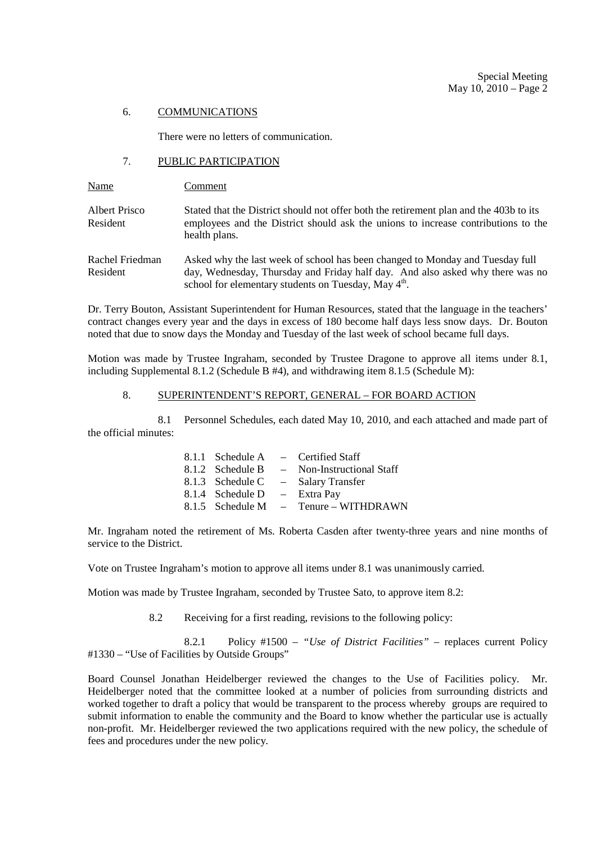#### 6. COMMUNICATIONS

There were no letters of communication.

## 7. PUBLIC PARTICIPATION

| Name                        | Comment                                                                                                                                                                                                                            |
|-----------------------------|------------------------------------------------------------------------------------------------------------------------------------------------------------------------------------------------------------------------------------|
| Albert Prisco<br>Resident   | Stated that the District should not offer both the retirement plan and the 403b to its<br>employees and the District should ask the unions to increase contributions to the<br>health plans.                                       |
| Rachel Friedman<br>Resident | Asked why the last week of school has been changed to Monday and Tuesday full<br>day, Wednesday, Thursday and Friday half day. And also asked why there was no<br>school for elementary students on Tuesday, May $4^{\text{th}}$ . |

Dr. Terry Bouton, Assistant Superintendent for Human Resources, stated that the language in the teachers' contract changes every year and the days in excess of 180 become half days less snow days. Dr. Bouton noted that due to snow days the Monday and Tuesday of the last week of school became full days.

Motion was made by Trustee Ingraham, seconded by Trustee Dragone to approve all items under 8.1, including Supplemental 8.1.2 (Schedule B #4), and withdrawing item 8.1.5 (Schedule M):

### 8. SUPERINTENDENT'S REPORT, GENERAL – FOR BOARD ACTION

 8.1 Personnel Schedules, each dated May 10, 2010, and each attached and made part of the official minutes:

|                                | $8.1.1$ Schedule A – Certified Staff       |
|--------------------------------|--------------------------------------------|
|                                | 8.1.2 Schedule B – Non-Instructional Staff |
|                                | 8.1.3 Schedule C – Salary Transfer         |
| 8.1.4 Schedule $D - Extra Pay$ |                                            |
|                                | 8.1.5 Schedule M $-$ Tenure – WITHDRAWN    |

Mr. Ingraham noted the retirement of Ms. Roberta Casden after twenty-three years and nine months of service to the District.

Vote on Trustee Ingraham's motion to approve all items under 8.1 was unanimously carried.

Motion was made by Trustee Ingraham, seconded by Trustee Sato, to approve item 8.2:

8.2 Receiving for a first reading, revisions to the following policy:

 8.2.1 Policy #1500 – *"Use of District Facilities"* – replaces current Policy #1330 – "Use of Facilities by Outside Groups"

Board Counsel Jonathan Heidelberger reviewed the changes to the Use of Facilities policy. Mr. Heidelberger noted that the committee looked at a number of policies from surrounding districts and worked together to draft a policy that would be transparent to the process whereby groups are required to submit information to enable the community and the Board to know whether the particular use is actually non-profit. Mr. Heidelberger reviewed the two applications required with the new policy, the schedule of fees and procedures under the new policy.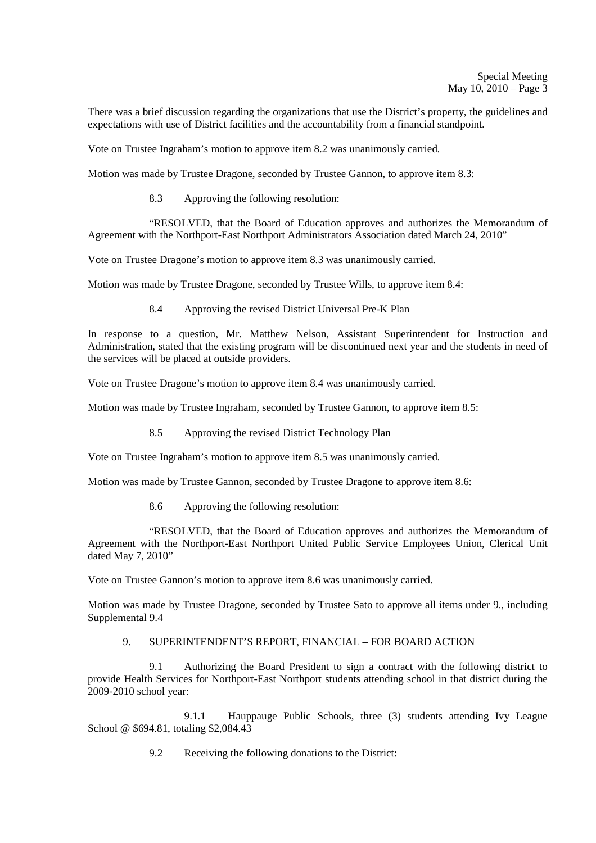There was a brief discussion regarding the organizations that use the District's property, the guidelines and expectations with use of District facilities and the accountability from a financial standpoint.

Vote on Trustee Ingraham's motion to approve item 8.2 was unanimously carried.

Motion was made by Trustee Dragone, seconded by Trustee Gannon, to approve item 8.3:

8.3 Approving the following resolution:

 "RESOLVED, that the Board of Education approves and authorizes the Memorandum of Agreement with the Northport-East Northport Administrators Association dated March 24, 2010"

Vote on Trustee Dragone's motion to approve item 8.3 was unanimously carried.

Motion was made by Trustee Dragone, seconded by Trustee Wills, to approve item 8.4:

8.4 Approving the revised District Universal Pre-K Plan

In response to a question, Mr. Matthew Nelson, Assistant Superintendent for Instruction and Administration, stated that the existing program will be discontinued next year and the students in need of the services will be placed at outside providers.

Vote on Trustee Dragone's motion to approve item 8.4 was unanimously carried.

Motion was made by Trustee Ingraham, seconded by Trustee Gannon, to approve item 8.5:

8.5 Approving the revised District Technology Plan

Vote on Trustee Ingraham's motion to approve item 8.5 was unanimously carried.

Motion was made by Trustee Gannon, seconded by Trustee Dragone to approve item 8.6:

8.6 Approving the following resolution:

 "RESOLVED, that the Board of Education approves and authorizes the Memorandum of Agreement with the Northport-East Northport United Public Service Employees Union, Clerical Unit dated May 7, 2010"

Vote on Trustee Gannon's motion to approve item 8.6 was unanimously carried.

Motion was made by Trustee Dragone, seconded by Trustee Sato to approve all items under 9., including Supplemental 9.4

# 9. SUPERINTENDENT'S REPORT, FINANCIAL – FOR BOARD ACTION

9.1 Authorizing the Board President to sign a contract with the following district to provide Health Services for Northport-East Northport students attending school in that district during the 2009-2010 school year:

 9.1.1 Hauppauge Public Schools, three (3) students attending Ivy League School @ \$694.81, totaling \$2,084.43

9.2 Receiving the following donations to the District: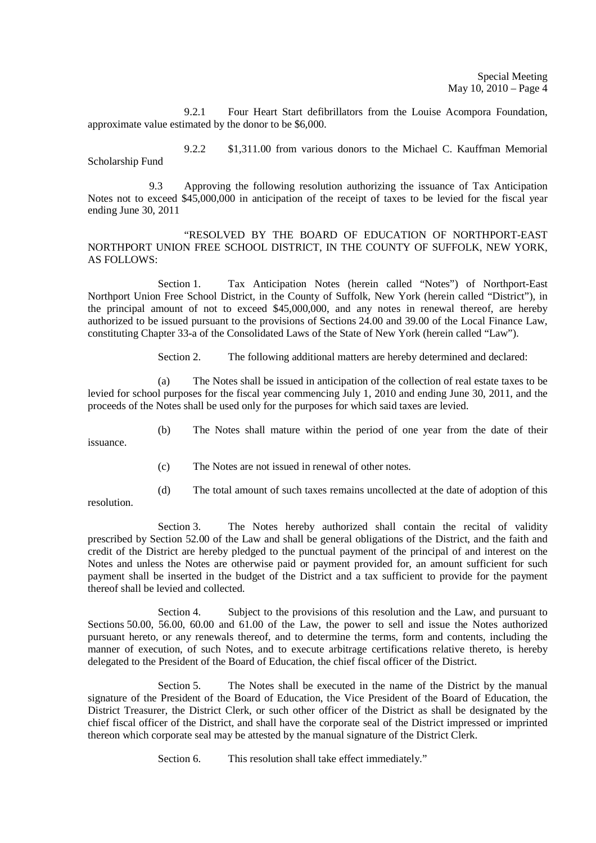9.2.1 Four Heart Start defibrillators from the Louise Acompora Foundation, approximate value estimated by the donor to be \$6,000.

 9.2.2 \$1,311.00 from various donors to the Michael C. Kauffman Memorial Scholarship Fund

 9.3 Approving the following resolution authorizing the issuance of Tax Anticipation Notes not to exceed \$45,000,000 in anticipation of the receipt of taxes to be levied for the fiscal year ending June 30, 2011

"RESOLVED BY THE BOARD OF EDUCATION OF NORTHPORT-EAST NORTHPORT UNION FREE SCHOOL DISTRICT, IN THE COUNTY OF SUFFOLK, NEW YORK, AS FOLLOWS:

Section 1. Tax Anticipation Notes (herein called "Notes") of Northport-East Northport Union Free School District, in the County of Suffolk, New York (herein called "District"), in the principal amount of not to exceed \$45,000,000, and any notes in renewal thereof, are hereby authorized to be issued pursuant to the provisions of Sections 24.00 and 39.00 of the Local Finance Law, constituting Chapter 33-a of the Consolidated Laws of the State of New York (herein called "Law").

Section 2. The following additional matters are hereby determined and declared:

(a) The Notes shall be issued in anticipation of the collection of real estate taxes to be levied for school purposes for the fiscal year commencing July 1, 2010 and ending June 30, 2011, and the proceeds of the Notes shall be used only for the purposes for which said taxes are levied.

(b) The Notes shall mature within the period of one year from the date of their

issuance.

(c) The Notes are not issued in renewal of other notes.

resolution.

(d) The total amount of such taxes remains uncollected at the date of adoption of this

Section 3. The Notes hereby authorized shall contain the recital of validity prescribed by Section 52.00 of the Law and shall be general obligations of the District, and the faith and credit of the District are hereby pledged to the punctual payment of the principal of and interest on the Notes and unless the Notes are otherwise paid or payment provided for, an amount sufficient for such payment shall be inserted in the budget of the District and a tax sufficient to provide for the payment thereof shall be levied and collected.

Section 4. Subject to the provisions of this resolution and the Law, and pursuant to Sections 50.00, 56.00, 60.00 and 61.00 of the Law, the power to sell and issue the Notes authorized pursuant hereto, or any renewals thereof, and to determine the terms, form and contents, including the manner of execution, of such Notes, and to execute arbitrage certifications relative thereto, is hereby delegated to the President of the Board of Education, the chief fiscal officer of the District.

Section 5. The Notes shall be executed in the name of the District by the manual signature of the President of the Board of Education, the Vice President of the Board of Education, the District Treasurer, the District Clerk, or such other officer of the District as shall be designated by the chief fiscal officer of the District, and shall have the corporate seal of the District impressed or imprinted thereon which corporate seal may be attested by the manual signature of the District Clerk.

Section 6. This resolution shall take effect immediately."